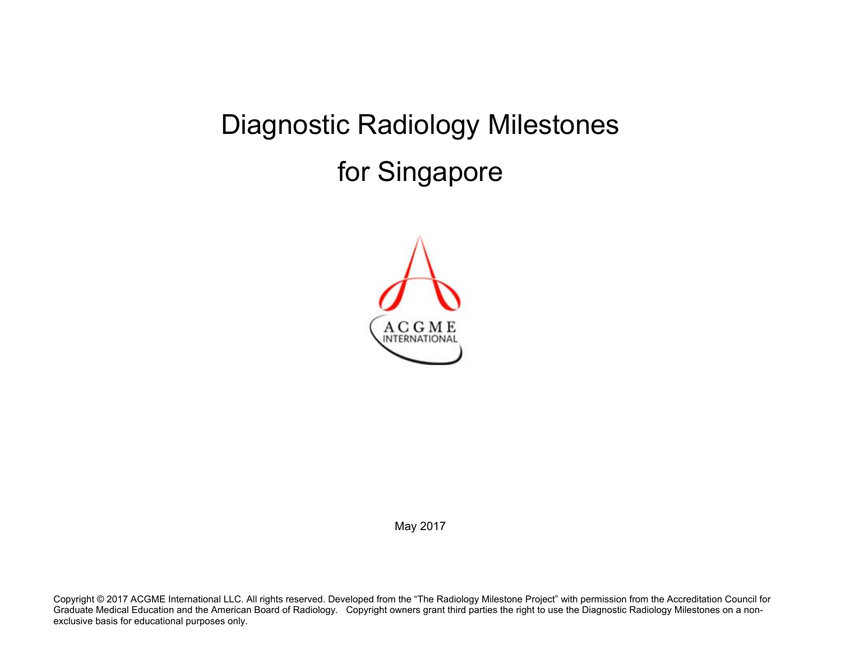# Diagnostic Radiology Milestones for Singapore



May 2017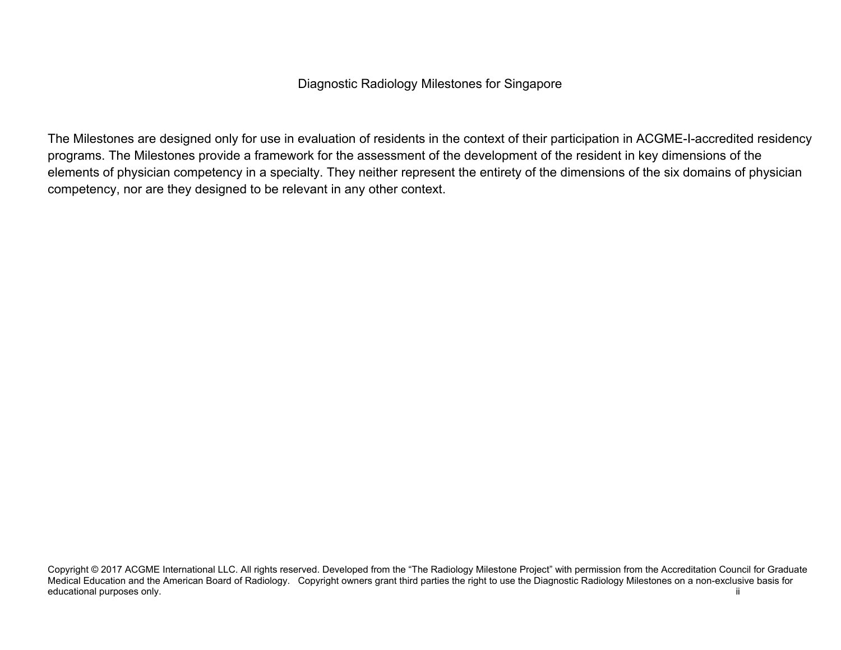The Milestones are designed only for use in evaluation of residents in the context of their participation in ACGME-I-accredited residency programs. The Milestones provide a framework for the assessment of the development of the resident in key dimensions of the elements of physician competency in a specialty. They neither represent the entirety of the dimensions of the six domains of physician competency, nor are they designed to be relevant in any other context.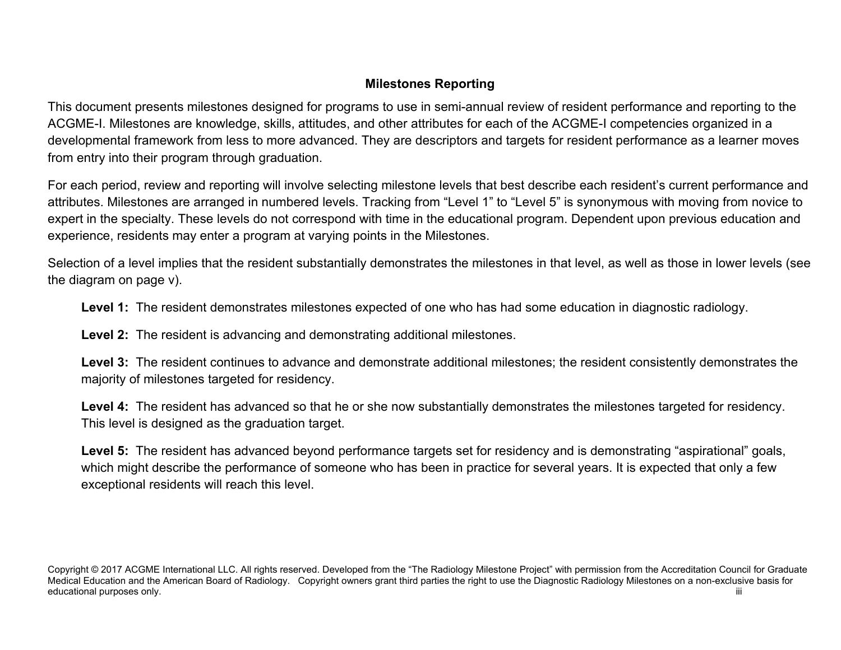## **Milestones Reporting**

This document presents milestones designed for programs to use in semi-annual review of resident performance and reporting to the ACGME-I. Milestones are knowledge, skills, attitudes, and other attributes for each of the ACGME-I competencies organized in a developmental framework from less to more advanced. They are descriptors and targets for resident performance as a learner moves from entry into their program through graduation.

For each period, review and reporting will involve selecting milestone levels that best describe each resident's current performance and attributes. Milestones are arranged in numbered levels. Tracking from "Level 1" to "Level 5" is synonymous with moving from novice to expert in the specialty. These levels do not correspond with time in the educational program. Dependent upon previous education and experience, residents may enter a program at varying points in the Milestones.

Selection of a level implies that the resident substantially demonstrates the milestones in that level, as well as those in lower levels (see the diagram on page v).

**Level 1:** The resident demonstrates milestones expected of one who has had some education in diagnostic radiology.

**Level 2:** The resident is advancing and demonstrating additional milestones.

**Level 3:** The resident continues to advance and demonstrate additional milestones; the resident consistently demonstrates the majority of milestones targeted for residency.

**Level 4:** The resident has advanced so that he or she now substantially demonstrates the milestones targeted for residency. This level is designed as the graduation target.

Level 5: The resident has advanced beyond performance targets set for residency and is demonstrating "aspirational" goals, which might describe the performance of someone who has been in practice for several years. It is expected that only a few exceptional residents will reach this level.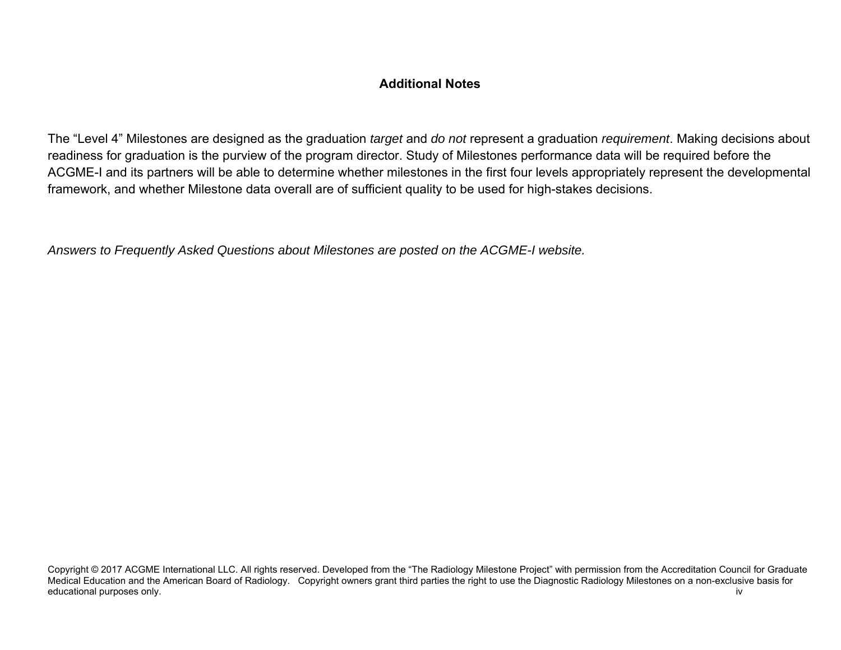## **Additional Notes**

The "Level 4" Milestones are designed as the graduation *target* and *do not* represent a graduation *requirement*. Making decisions about readiness for graduation is the purview of the program director. Study of Milestones performance data will be required before the ACGME-I and its partners will be able to determine whether milestones in the first four levels appropriately represent the developmental framework, and whether Milestone data overall are of sufficient quality to be used for high-stakes decisions.

*Answers to Frequently Asked Questions about Milestones are posted on the ACGME-I website.* 

Copyright © 2017 ACGME International LLC. All rights reserved. Developed from the "The Radiology Milestone Project" with permission from the Accreditation Council for Graduate Medical Education and the American Board of Radiology. Copyright owners grant third parties the right to use the Diagnostic Radiology Milestones on a non-exclusive basis for educational purposes only. **iverally** a set of the set of the set of the set of the set of the set of the set of the set of the set of the set of the set of the set of the set of the set of the set of the set of the set of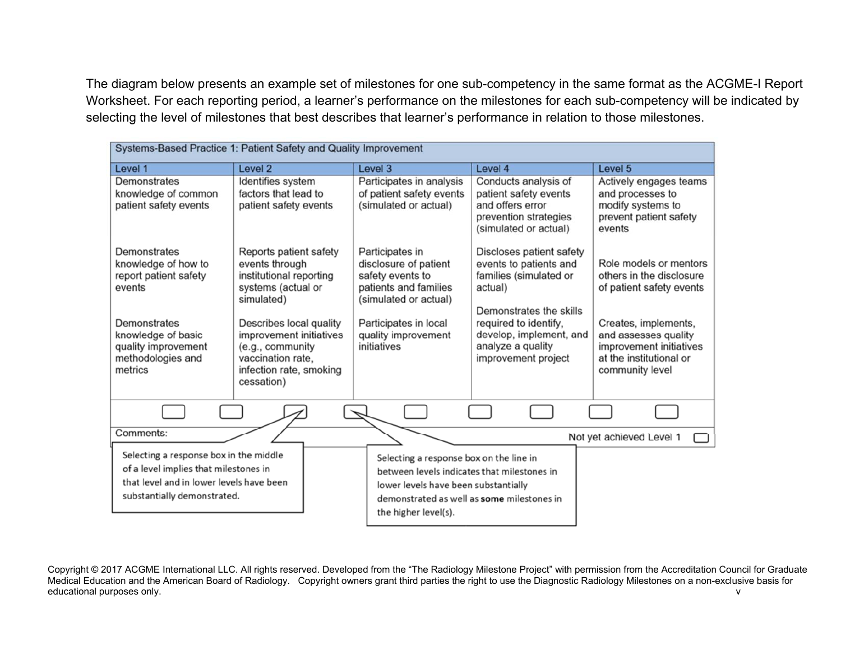The diagram below presents an example set of milestones for one sub-competency in the same format as the ACGME-I Report Worksheet. For each reporting period, a learner's performance on the milestones for each sub-competency will be indicated by selecting the level of milestones that best describes that learner's performance in relation to those milestones.

| Systems-Based Practice 1: Patient Safety and Quality Improvement                                                                                           |                                                                                                                                      |                                                                                                                                                                                                      |                                                                                                                     |                                                                                                                       |  |
|------------------------------------------------------------------------------------------------------------------------------------------------------------|--------------------------------------------------------------------------------------------------------------------------------------|------------------------------------------------------------------------------------------------------------------------------------------------------------------------------------------------------|---------------------------------------------------------------------------------------------------------------------|-----------------------------------------------------------------------------------------------------------------------|--|
| Level 1                                                                                                                                                    | Level 2                                                                                                                              | Level 3                                                                                                                                                                                              | Level 4                                                                                                             | Level 5                                                                                                               |  |
| Demonstrates<br>knowledge of common<br>patient safety events                                                                                               | Identifies system<br>factors that lead to<br>patient safety events                                                                   | Participates in analysis<br>of patient safety events<br>(simulated or actual)                                                                                                                        | Conducts analysis of<br>patient safety events<br>and offers error<br>prevention strategies<br>(simulated or actual) | Actively engages teams<br>and processes to<br>modify systems to<br>prevent patient safety<br>events                   |  |
| Demonstrates<br>knowledge of how to<br>report patient safety<br>events                                                                                     | Reports patient safety<br>events through<br>institutional reporting<br>systems (actual or<br>simulated)                              | Participates in<br>disclosure of patient<br>safety events to<br>patients and families<br>(simulated or actual)                                                                                       | Discloses patient safety<br>events to patients and<br>families (simulated or<br>actual)<br>Demonstrates the skills  | Role models or mentors<br>others in the disclosure<br>of patient safety events                                        |  |
| Demonstrates<br>knowledge of basic<br>quality improvement<br>methodologies and<br>metrics                                                                  | Describes local quality<br>improvement initiatives<br>(e.g., community<br>vaccination rate.<br>infection rate, smoking<br>cessation) | Participates in local<br>quality improvement<br>initiatives                                                                                                                                          | required to identify,<br>develop, implement, and<br>analyze a quality<br>improvement project                        | Creates, implements,<br>and assesses quality<br>improvement initiatives<br>at the institutional or<br>community level |  |
|                                                                                                                                                            |                                                                                                                                      |                                                                                                                                                                                                      |                                                                                                                     |                                                                                                                       |  |
| Comments:                                                                                                                                                  |                                                                                                                                      |                                                                                                                                                                                                      |                                                                                                                     | Not yet achieved Level 1                                                                                              |  |
| Selecting a response box in the middle<br>of a level implies that milestones in<br>that level and in lower levels have been<br>substantially demonstrated. |                                                                                                                                      | Selecting a response box on the line in<br>between levels indicates that milestones in<br>lower levels have been substantially<br>demonstrated as well as some milestones in<br>the higher level(s). |                                                                                                                     |                                                                                                                       |  |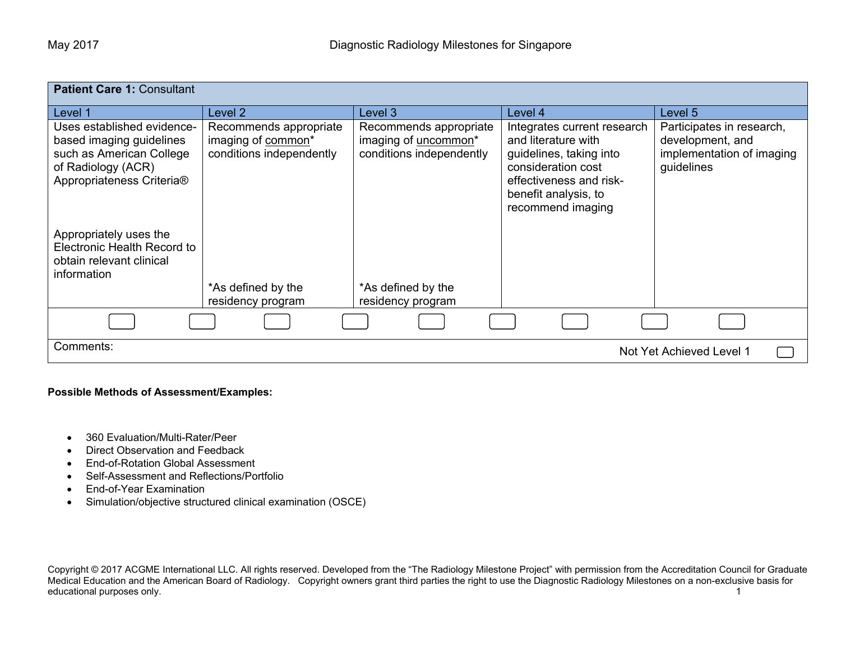| <b>Patient Care 1: Consultant</b>                                                                                                     |                                                                          |                                                                                               |                                                                                                                                                                             |                                                                                          |
|---------------------------------------------------------------------------------------------------------------------------------------|--------------------------------------------------------------------------|-----------------------------------------------------------------------------------------------|-----------------------------------------------------------------------------------------------------------------------------------------------------------------------------|------------------------------------------------------------------------------------------|
| Level 1                                                                                                                               | Level 2                                                                  | Level 3                                                                                       | Level 4                                                                                                                                                                     | Level 5                                                                                  |
| Uses established evidence-<br>based imaging guidelines<br>such as American College<br>of Radiology (ACR)<br>Appropriateness Criteria® | Recommends appropriate<br>imaging of common*<br>conditions independently | Recommends appropriate<br>imaging of <i>uncommon</i> <sup>*</sup><br>conditions independently | Integrates current research<br>and literature with<br>guidelines, taking into<br>consideration cost<br>effectiveness and risk-<br>benefit analysis, to<br>recommend imaging | Participates in research,<br>development, and<br>implementation of imaging<br>guidelines |
| Appropriately uses the<br>Electronic Health Record to<br>obtain relevant clinical<br>information                                      | *As defined by the                                                       | *As defined by the                                                                            |                                                                                                                                                                             |                                                                                          |
|                                                                                                                                       | residency program                                                        | residency program                                                                             |                                                                                                                                                                             |                                                                                          |
|                                                                                                                                       |                                                                          |                                                                                               |                                                                                                                                                                             |                                                                                          |
| Comments:                                                                                                                             |                                                                          |                                                                                               |                                                                                                                                                                             | Not Yet Achieved Level 1                                                                 |

#### **Possible Methods of Assessment/Examples:**

- 360 Evaluation/Multi-Rater/Peer
- Direct Observation and Feedback
- End-of-Rotation Global Assessment
- Self-Assessment and Reflections/Portfolio
- End-of-Year Examination
- Simulation/objective structured clinical examination (OSCE)

Copyright © 2017 ACGME International LLC. All rights reserved. Developed from the "The Radiology Milestone Project" with permission from the Accreditation Council for Graduate Medical Education and the American Board of Radiology. Copyright owners grant third parties the right to use the Diagnostic Radiology Milestones on a non-exclusive basis for educational purposes only. The contract of the contract of the contract of the contract of the contract of the contract of the contract of the contract of the contract of the contract of the contract of the contract of the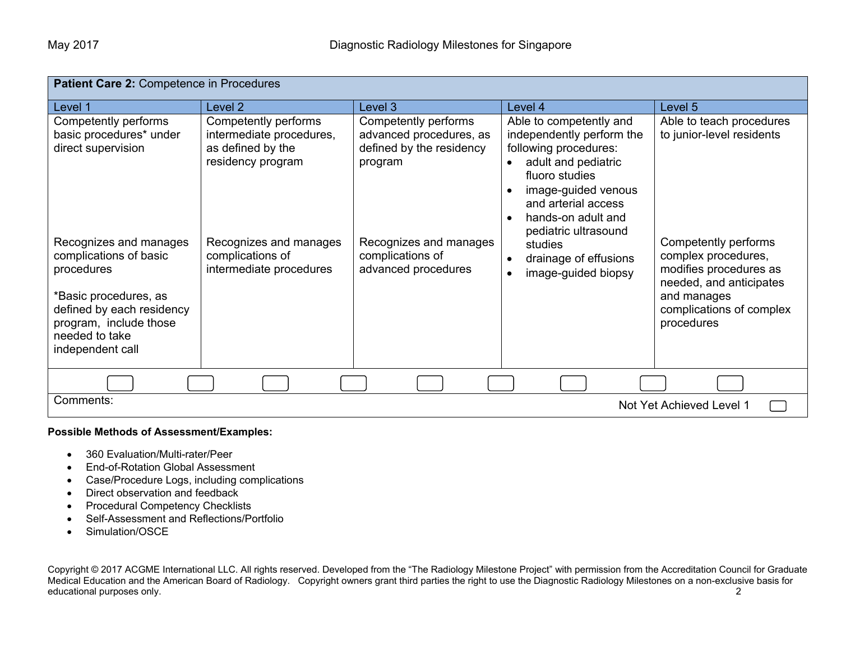| Patient Care 2: Competence in Procedures |                                        |                                     |                                              |                                                   |
|------------------------------------------|----------------------------------------|-------------------------------------|----------------------------------------------|---------------------------------------------------|
| Level 1                                  | Level 2                                | Level 3                             | Level 4                                      | Level 5                                           |
| Competently performs                     | Competently performs                   | Competently performs                | Able to competently and                      | Able to teach procedures                          |
| basic procedures* under                  | intermediate procedures,               | advanced procedures, as             | independently perform the                    | to junior-level residents                         |
| direct supervision                       | as defined by the<br>residency program | defined by the residency<br>program | following procedures:<br>adult and pediatric |                                                   |
|                                          |                                        |                                     | fluoro studies                               |                                                   |
|                                          |                                        |                                     | image-guided venous<br>$\bullet$             |                                                   |
|                                          |                                        |                                     | and arterial access                          |                                                   |
|                                          |                                        |                                     | hands-on adult and<br>$\bullet$              |                                                   |
| Recognizes and manages                   | Recognizes and manages                 | Recognizes and manages              | pediatric ultrasound<br>studies              | Competently performs                              |
| complications of basic                   | complications of                       | complications of                    | drainage of effusions<br>$\bullet$           | complex procedures,                               |
| procedures                               | intermediate procedures                | advanced procedures                 | image-guided biopsy                          | modifies procedures as<br>needed, and anticipates |
| *Basic procedures, as                    |                                        |                                     |                                              | and manages                                       |
| defined by each residency                |                                        |                                     |                                              | complications of complex                          |
| program, include those                   |                                        |                                     |                                              | procedures                                        |
| needed to take<br>independent call       |                                        |                                     |                                              |                                                   |
|                                          |                                        |                                     |                                              |                                                   |
|                                          |                                        |                                     |                                              |                                                   |
| Comments:                                |                                        |                                     |                                              |                                                   |
| Not Yet Achieved Level 1                 |                                        |                                     |                                              |                                                   |

#### **Possible Methods of Assessment/Examples:**

- 360 Evaluation/Multi-rater/Peer
- End-of-Rotation Global Assessment
- Case/Procedure Logs, including complications
- Direct observation and feedback
- Procedural Competency Checklists
- Self-Assessment and Reflections/Portfolio
- Simulation/OSCE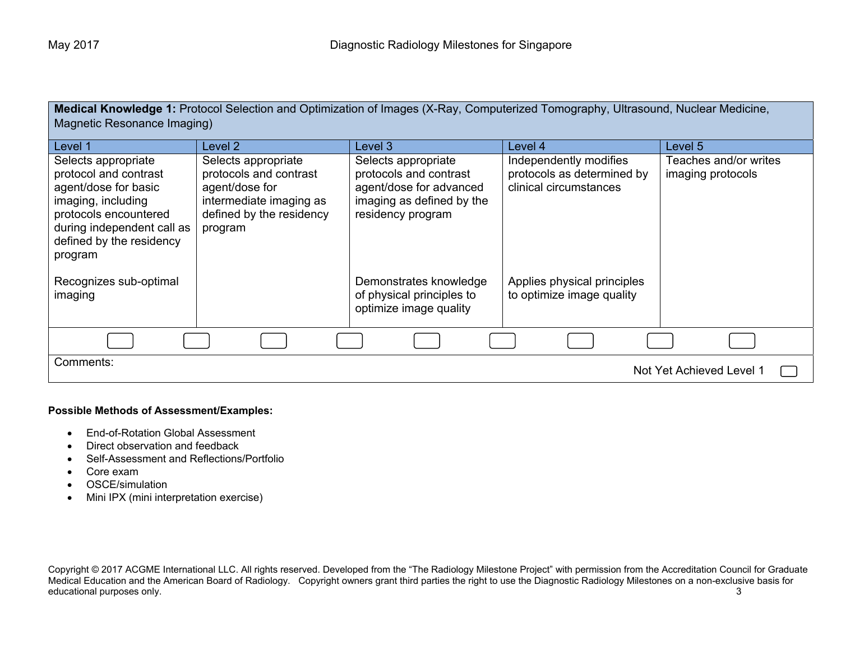**Medical Knowledge 1:** Protocol Selection and Optimization of Images (X-Ray, Computerized Tomography, Ultrasound, Nuclear Medicine, Magnetic Resonance Imaging)

| Level 1                                                                                                                    | Level 2                                                                                                    | Level 3                                                                                             | Level 4                                                  | Level 5               |
|----------------------------------------------------------------------------------------------------------------------------|------------------------------------------------------------------------------------------------------------|-----------------------------------------------------------------------------------------------------|----------------------------------------------------------|-----------------------|
| Selects appropriate                                                                                                        | Selects appropriate                                                                                        | Selects appropriate                                                                                 | Independently modifies                                   | Teaches and/or writes |
| protocol and contrast<br>agent/dose for basic<br>imaging, including<br>protocols encountered<br>during independent call as | protocols and contrast<br>agent/dose for<br>intermediate imaging as<br>defined by the residency<br>program | protocols and contrast<br>agent/dose for advanced<br>imaging as defined by the<br>residency program | protocols as determined by<br>clinical circumstances     | imaging protocols     |
| defined by the residency<br>program                                                                                        |                                                                                                            |                                                                                                     |                                                          |                       |
| Recognizes sub-optimal<br>imaging                                                                                          |                                                                                                            | Demonstrates knowledge<br>of physical principles to<br>optimize image quality                       | Applies physical principles<br>to optimize image quality |                       |
|                                                                                                                            |                                                                                                            |                                                                                                     |                                                          |                       |
| Comments:<br>Not Yet Achieved Level 1                                                                                      |                                                                                                            |                                                                                                     |                                                          |                       |

#### **Possible Methods of Assessment/Examples:**

- End-of-Rotation Global Assessment
- Direct observation and feedback
- Self-Assessment and Reflections/Portfolio
- Core exam
- OSCE/simulation
- Mini IPX (mini interpretation exercise)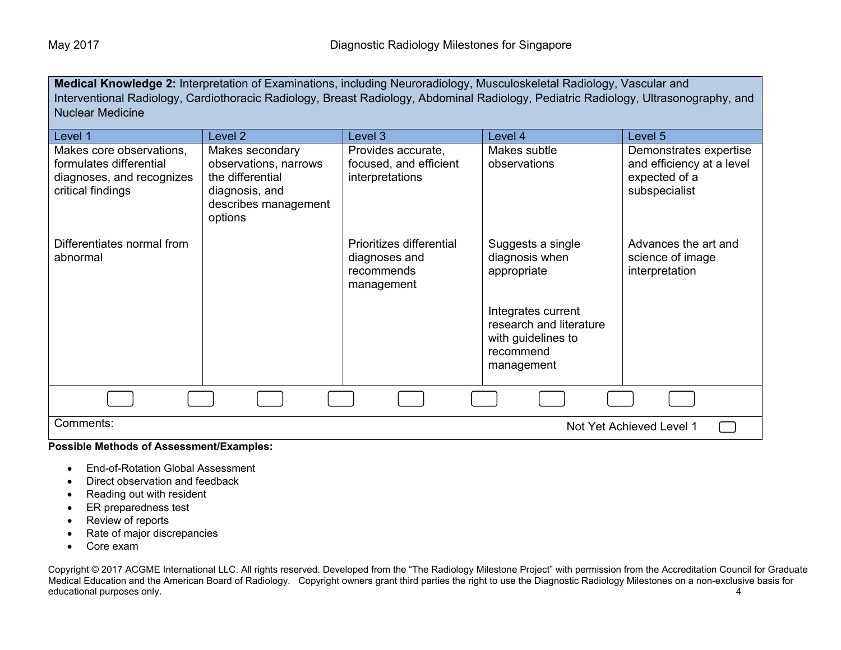**Medical Knowledge 2:** Interpretation of Examinations, including Neuroradiology, Musculoskeletal Radiology, Vascular and Interventional Radiology, Cardiothoracic Radiology, Breast Radiology, Abdominal Radiology, Pediatric Radiology, Ultrasonography, and Nuclear Medicine

| Level 1                                                                                               | Level <sub>2</sub>                                                                                                | Level 3                                                               | Level 4                                                                                        | Level 5                                                                               |
|-------------------------------------------------------------------------------------------------------|-------------------------------------------------------------------------------------------------------------------|-----------------------------------------------------------------------|------------------------------------------------------------------------------------------------|---------------------------------------------------------------------------------------|
| Makes core observations,<br>formulates differential<br>diagnoses, and recognizes<br>critical findings | Makes secondary<br>observations, narrows<br>the differential<br>diagnosis, and<br>describes management<br>options | Provides accurate,<br>focused, and efficient<br>interpretations       | Makes subtle<br>observations                                                                   | Demonstrates expertise<br>and efficiency at a level<br>expected of a<br>subspecialist |
| Differentiates normal from<br>abnormal                                                                |                                                                                                                   | Prioritizes differential<br>diagnoses and<br>recommends<br>management | Suggests a single<br>diagnosis when<br>appropriate                                             | Advances the art and<br>science of image<br>interpretation                            |
|                                                                                                       |                                                                                                                   |                                                                       | Integrates current<br>research and literature<br>with guidelines to<br>recommend<br>management |                                                                                       |
|                                                                                                       |                                                                                                                   |                                                                       |                                                                                                |                                                                                       |
| Comments:<br>Not Yet Achieved Level 1                                                                 |                                                                                                                   |                                                                       |                                                                                                |                                                                                       |

### **Possible Methods of Assessment/Examples:**

- End-of-Rotation Global Assessment
- Direct observation and feedback
- Reading out with resident
- ER preparedness test
- Review of reports
- Rate of major discrepancies
- Core exam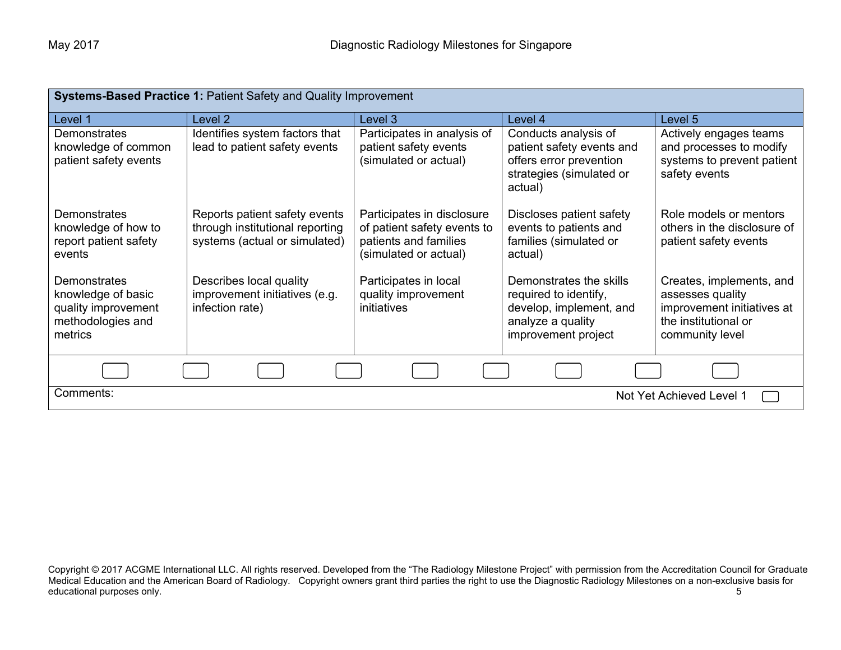| <b>Systems-Based Practice 1: Patient Safety and Quality Improvement</b>                          |                                                                                                   |                                                                                                             |                                                                                                                         |                                                                                                                       |
|--------------------------------------------------------------------------------------------------|---------------------------------------------------------------------------------------------------|-------------------------------------------------------------------------------------------------------------|-------------------------------------------------------------------------------------------------------------------------|-----------------------------------------------------------------------------------------------------------------------|
| Level 1                                                                                          | Level 2                                                                                           | Level 3                                                                                                     | Level 4                                                                                                                 | Level 5                                                                                                               |
| <b>Demonstrates</b><br>knowledge of common<br>patient safety events                              | Identifies system factors that<br>lead to patient safety events                                   | Participates in analysis of<br>patient safety events<br>(simulated or actual)                               | Conducts analysis of<br>patient safety events and<br>offers error prevention<br>strategies (simulated or<br>actual)     | Actively engages teams<br>and processes to modify<br>systems to prevent patient<br>safety events                      |
| <b>Demonstrates</b><br>knowledge of how to<br>report patient safety<br>events                    | Reports patient safety events<br>through institutional reporting<br>systems (actual or simulated) | Participates in disclosure<br>of patient safety events to<br>patients and families<br>(simulated or actual) | Discloses patient safety<br>events to patients and<br>families (simulated or<br>actual)                                 | Role models or mentors<br>others in the disclosure of<br>patient safety events                                        |
| <b>Demonstrates</b><br>knowledge of basic<br>quality improvement<br>methodologies and<br>metrics | Describes local quality<br>improvement initiatives (e.g.<br>infection rate)                       | Participates in local<br>quality improvement<br>initiatives                                                 | Demonstrates the skills<br>required to identify,<br>develop, implement, and<br>analyze a quality<br>improvement project | Creates, implements, and<br>assesses quality<br>improvement initiatives at<br>the institutional or<br>community level |
|                                                                                                  |                                                                                                   |                                                                                                             |                                                                                                                         |                                                                                                                       |
| Comments:                                                                                        |                                                                                                   |                                                                                                             |                                                                                                                         | Not Yet Achieved Level 1                                                                                              |

Copyright © 2017 ACGME International LLC. All rights reserved. Developed from the "The Radiology Milestone Project" with permission from the Accreditation Council for Graduate Medical Education and the American Board of Radiology. Copyright owners grant third parties the right to use the Diagnostic Radiology Milestones on a non-exclusive basis for educational purposes only. The contract of the contract of the contract of the contract of the contract of the contract of the contract of the contract of the contract of the contract of the contract of the contract of the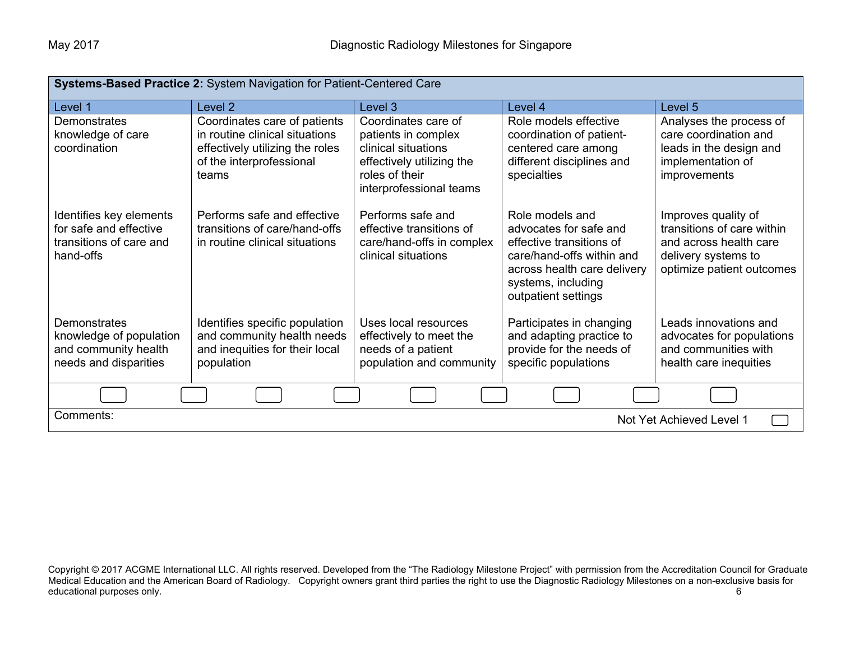| Systems-Based Practice 2: System Navigation for Patient-Centered Care                           |                                                                                                                                        |                                                                                                                                             |                                                                                                                                                                                |                                                                                                                                 |
|-------------------------------------------------------------------------------------------------|----------------------------------------------------------------------------------------------------------------------------------------|---------------------------------------------------------------------------------------------------------------------------------------------|--------------------------------------------------------------------------------------------------------------------------------------------------------------------------------|---------------------------------------------------------------------------------------------------------------------------------|
| Level 1                                                                                         | Level <sub>2</sub>                                                                                                                     | Level 3                                                                                                                                     | Level 4                                                                                                                                                                        | Level 5                                                                                                                         |
| Demonstrates<br>knowledge of care<br>coordination                                               | Coordinates care of patients<br>in routine clinical situations<br>effectively utilizing the roles<br>of the interprofessional<br>teams | Coordinates care of<br>patients in complex<br>clinical situations<br>effectively utilizing the<br>roles of their<br>interprofessional teams | Role models effective<br>coordination of patient-<br>centered care among<br>different disciplines and<br>specialties                                                           | Analyses the process of<br>care coordination and<br>leads in the design and<br>implementation of<br>improvements                |
| Identifies key elements<br>for safe and effective<br>transitions of care and<br>hand-offs       | Performs safe and effective<br>transitions of care/hand-offs<br>in routine clinical situations                                         | Performs safe and<br>effective transitions of<br>care/hand-offs in complex<br>clinical situations                                           | Role models and<br>advocates for safe and<br>effective transitions of<br>care/hand-offs within and<br>across health care delivery<br>systems, including<br>outpatient settings | Improves quality of<br>transitions of care within<br>and across health care<br>delivery systems to<br>optimize patient outcomes |
| <b>Demonstrates</b><br>knowledge of population<br>and community health<br>needs and disparities | Identifies specific population<br>and community health needs<br>and inequities for their local<br>population                           | Uses local resources<br>effectively to meet the<br>needs of a patient<br>population and community                                           | Participates in changing<br>and adapting practice to<br>provide for the needs of<br>specific populations                                                                       | Leads innovations and<br>advocates for populations<br>and communities with<br>health care inequities                            |
|                                                                                                 |                                                                                                                                        |                                                                                                                                             |                                                                                                                                                                                |                                                                                                                                 |
| Comments:<br>Not Yet Achieved Level 1                                                           |                                                                                                                                        |                                                                                                                                             |                                                                                                                                                                                |                                                                                                                                 |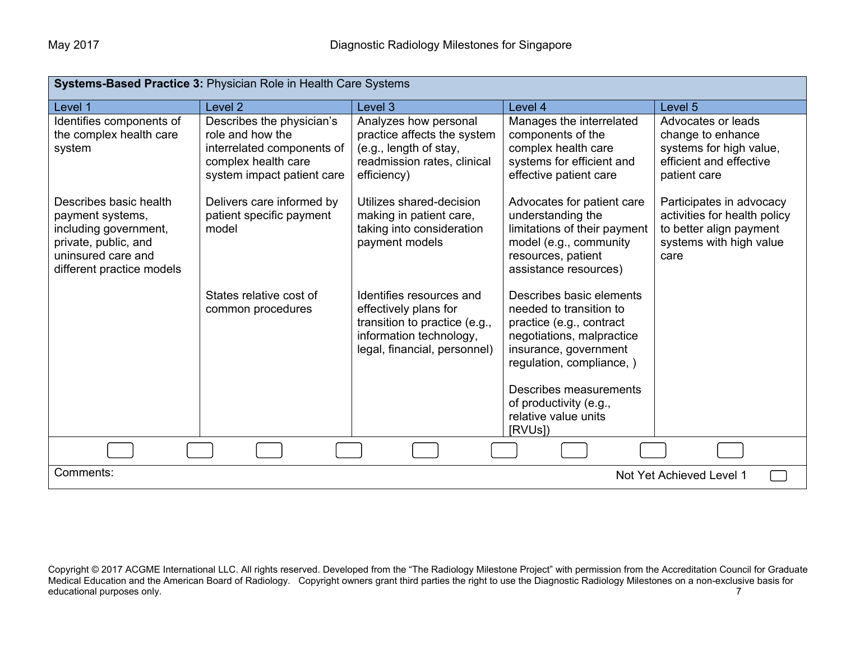| Systems-Based Practice 3: Physician Role in Health Care Systems                                                                                |                                                                                                                                  |                                                                                                                                               |                                                                                                                                                                                                                                                |                                                                                                                        |
|------------------------------------------------------------------------------------------------------------------------------------------------|----------------------------------------------------------------------------------------------------------------------------------|-----------------------------------------------------------------------------------------------------------------------------------------------|------------------------------------------------------------------------------------------------------------------------------------------------------------------------------------------------------------------------------------------------|------------------------------------------------------------------------------------------------------------------------|
| Level 1                                                                                                                                        | Level <sub>2</sub>                                                                                                               | Level 3                                                                                                                                       | Level 4                                                                                                                                                                                                                                        | Level 5                                                                                                                |
| Identifies components of<br>the complex health care<br>system                                                                                  | Describes the physician's<br>role and how the<br>interrelated components of<br>complex health care<br>system impact patient care | Analyzes how personal<br>practice affects the system<br>(e.g., length of stay,<br>readmission rates, clinical<br>efficiency)                  | Manages the interrelated<br>components of the<br>complex health care<br>systems for efficient and<br>effective patient care                                                                                                                    | Advocates or leads<br>change to enhance<br>systems for high value,<br>efficient and effective<br>patient care          |
| Describes basic health<br>payment systems,<br>including government,<br>private, public, and<br>uninsured care and<br>different practice models | Delivers care informed by<br>patient specific payment<br>model                                                                   | Utilizes shared-decision<br>making in patient care,<br>taking into consideration<br>payment models                                            | Advocates for patient care<br>understanding the<br>limitations of their payment<br>model (e.g., community<br>resources, patient<br>assistance resources)                                                                                       | Participates in advocacy<br>activities for health policy<br>to better align payment<br>systems with high value<br>care |
|                                                                                                                                                | States relative cost of<br>common procedures                                                                                     | Identifies resources and<br>effectively plans for<br>transition to practice (e.g.,<br>information technology,<br>legal, financial, personnel) | Describes basic elements<br>needed to transition to<br>practice (e.g., contract<br>negotiations, malpractice<br>insurance, government<br>regulation, compliance, )<br>Describes measurements<br>of productivity (e.g.,<br>relative value units |                                                                                                                        |
|                                                                                                                                                |                                                                                                                                  |                                                                                                                                               | [RVUs])                                                                                                                                                                                                                                        |                                                                                                                        |
|                                                                                                                                                |                                                                                                                                  |                                                                                                                                               |                                                                                                                                                                                                                                                |                                                                                                                        |
| Comments:                                                                                                                                      |                                                                                                                                  |                                                                                                                                               |                                                                                                                                                                                                                                                | Not Yet Achieved Level 1                                                                                               |

Copyright © 2017 ACGME International LLC. All rights reserved. Developed from the "The Radiology Milestone Project" with permission from the Accreditation Council for Graduate Medical Education and the American Board of Radiology. Copyright owners grant third parties the right to use the Diagnostic Radiology Milestones on a non-exclusive basis for educational purposes only. The contract of the contract of the contract of the contract of the contract of the contract of the contract of the contract of the contract of the contract of the contract of the contract of the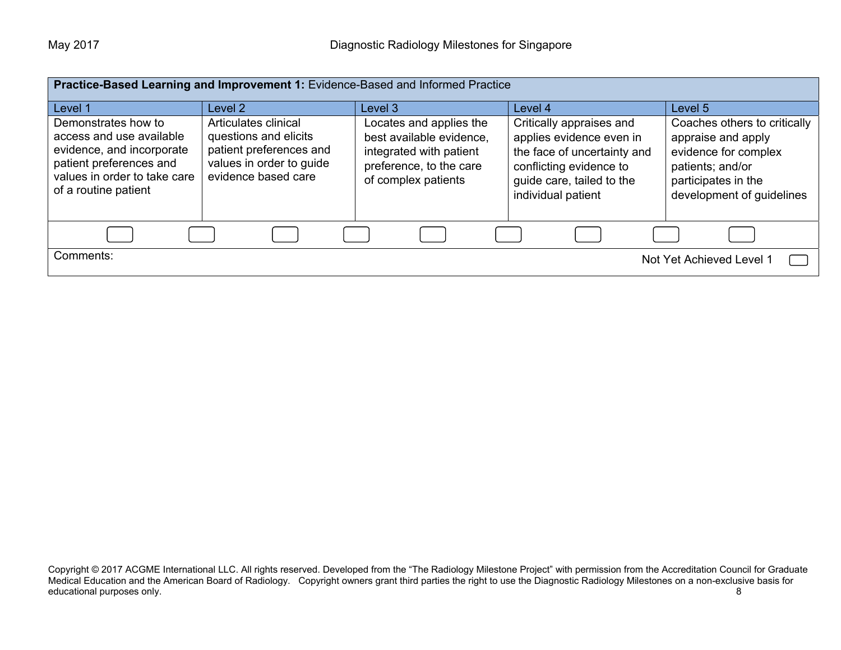| Practice-Based Learning and Improvement 1: Evidence-Based and Informed Practice                                                                                 |                                                                                                                             |                                                                                                                                  |                                                                                                                                                                   |                                                                                                                                                    |
|-----------------------------------------------------------------------------------------------------------------------------------------------------------------|-----------------------------------------------------------------------------------------------------------------------------|----------------------------------------------------------------------------------------------------------------------------------|-------------------------------------------------------------------------------------------------------------------------------------------------------------------|----------------------------------------------------------------------------------------------------------------------------------------------------|
| Level 1                                                                                                                                                         | Level 2                                                                                                                     | Level 3                                                                                                                          | Level 4                                                                                                                                                           | Level 5                                                                                                                                            |
| Demonstrates how to<br>access and use available<br>evidence, and incorporate<br>patient preferences and<br>values in order to take care<br>of a routine patient | Articulates clinical<br>questions and elicits<br>patient preferences and<br>values in order to guide<br>evidence based care | Locates and applies the<br>best available evidence,<br>integrated with patient<br>preference, to the care<br>of complex patients | Critically appraises and<br>applies evidence even in<br>the face of uncertainty and<br>conflicting evidence to<br>guide care, tailed to the<br>individual patient | Coaches others to critically<br>appraise and apply<br>evidence for complex<br>patients; and/or<br>participates in the<br>development of guidelines |
|                                                                                                                                                                 |                                                                                                                             |                                                                                                                                  |                                                                                                                                                                   |                                                                                                                                                    |
| Comments:                                                                                                                                                       |                                                                                                                             |                                                                                                                                  |                                                                                                                                                                   | Not Yet Achieved Level 1                                                                                                                           |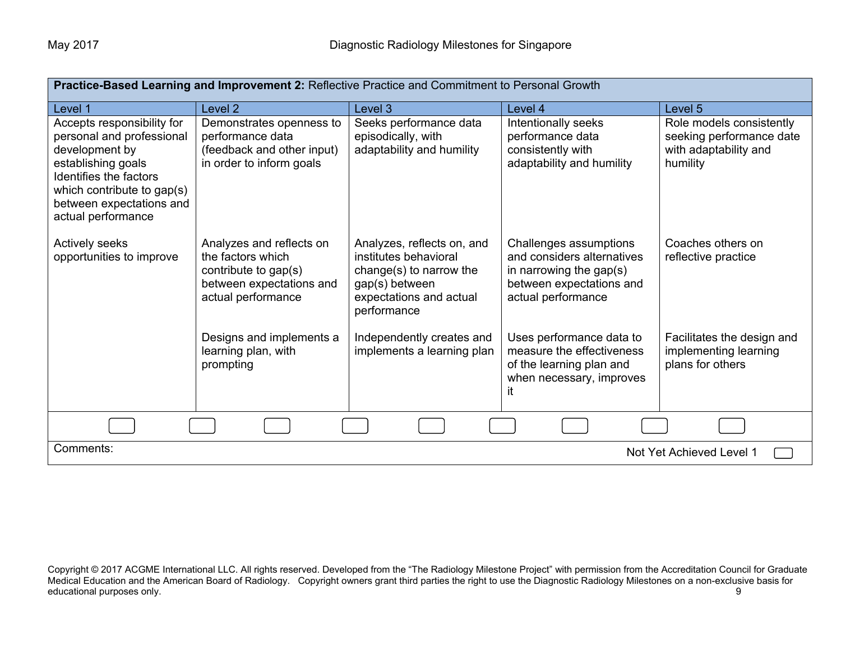| Practice-Based Learning and Improvement 2: Reflective Practice and Commitment to Personal Growth                                                                                                          |                                                                                                                         |                                                                                                                                            |                                                                                                                                      |                                                                                           |
|-----------------------------------------------------------------------------------------------------------------------------------------------------------------------------------------------------------|-------------------------------------------------------------------------------------------------------------------------|--------------------------------------------------------------------------------------------------------------------------------------------|--------------------------------------------------------------------------------------------------------------------------------------|-------------------------------------------------------------------------------------------|
| Level 1                                                                                                                                                                                                   | Level <sub>2</sub>                                                                                                      | Level 3                                                                                                                                    | Level 4                                                                                                                              | Level 5                                                                                   |
| Accepts responsibility for<br>personal and professional<br>development by<br>establishing goals<br>Identifies the factors<br>which contribute to gap(s)<br>between expectations and<br>actual performance | Demonstrates openness to<br>performance data<br>(feedback and other input)<br>in order to inform goals                  | Seeks performance data<br>episodically, with<br>adaptability and humility                                                                  | Intentionally seeks<br>performance data<br>consistently with<br>adaptability and humility                                            | Role models consistently<br>seeking performance date<br>with adaptability and<br>humility |
| Actively seeks<br>opportunities to improve                                                                                                                                                                | Analyzes and reflects on<br>the factors which<br>contribute to gap(s)<br>between expectations and<br>actual performance | Analyzes, reflects on, and<br>institutes behavioral<br>change(s) to narrow the<br>gap(s) between<br>expectations and actual<br>performance | Challenges assumptions<br>and considers alternatives<br>in narrowing the gap $(s)$<br>between expectations and<br>actual performance | Coaches others on<br>reflective practice                                                  |
|                                                                                                                                                                                                           | Designs and implements a<br>learning plan, with<br>prompting                                                            | Independently creates and<br>implements a learning plan                                                                                    | Uses performance data to<br>measure the effectiveness<br>of the learning plan and<br>when necessary, improves<br>it                  | Facilitates the design and<br>implementing learning<br>plans for others                   |
|                                                                                                                                                                                                           |                                                                                                                         |                                                                                                                                            |                                                                                                                                      |                                                                                           |
| Comments:<br>Not Yet Achieved Level 1                                                                                                                                                                     |                                                                                                                         |                                                                                                                                            |                                                                                                                                      |                                                                                           |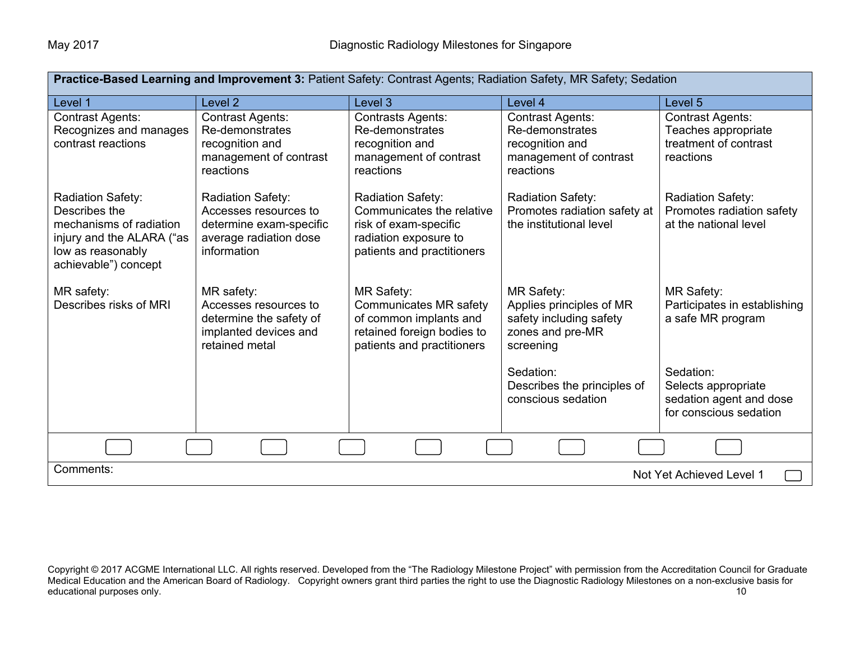| Practice-Based Learning and Improvement 3: Patient Safety: Contrast Agents; Radiation Safety, MR Safety; Sedation                       |                                                                                                                |                                                                                                                                   |                                                                                                      |                                                                                       |  |
|-----------------------------------------------------------------------------------------------------------------------------------------|----------------------------------------------------------------------------------------------------------------|-----------------------------------------------------------------------------------------------------------------------------------|------------------------------------------------------------------------------------------------------|---------------------------------------------------------------------------------------|--|
| Level 1                                                                                                                                 | Level <sub>2</sub>                                                                                             | Level 3                                                                                                                           | Level 4                                                                                              | Level 5                                                                               |  |
| <b>Contrast Agents:</b><br>Recognizes and manages<br>contrast reactions                                                                 | <b>Contrast Agents:</b><br>Re-demonstrates<br>recognition and<br>management of contrast<br>reactions           | <b>Contrasts Agents:</b><br>Re-demonstrates<br>recognition and<br>management of contrast<br>reactions                             | <b>Contrast Agents:</b><br>Re-demonstrates<br>recognition and<br>management of contrast<br>reactions | <b>Contrast Agents:</b><br>Teaches appropriate<br>treatment of contrast<br>reactions  |  |
| Radiation Safety:<br>Describes the<br>mechanisms of radiation<br>injury and the ALARA ("as<br>low as reasonably<br>achievable") concept | Radiation Safety:<br>Accesses resources to<br>determine exam-specific<br>average radiation dose<br>information | Radiation Safety:<br>Communicates the relative<br>risk of exam-specific<br>radiation exposure to<br>patients and practitioners    | <b>Radiation Safety:</b><br>Promotes radiation safety at<br>the institutional level                  | <b>Radiation Safety:</b><br>Promotes radiation safety<br>at the national level        |  |
| MR safety:<br>Describes risks of MRI                                                                                                    | MR safety:<br>Accesses resources to<br>determine the safety of<br>implanted devices and<br>retained metal      | <b>MR Safety:</b><br>Communicates MR safety<br>of common implants and<br>retained foreign bodies to<br>patients and practitioners | MR Safety:<br>Applies principles of MR<br>safety including safety<br>zones and pre-MR<br>screening   | MR Safety:<br>Participates in establishing<br>a safe MR program                       |  |
|                                                                                                                                         |                                                                                                                |                                                                                                                                   | Sedation:<br>Describes the principles of<br>conscious sedation                                       | Sedation:<br>Selects appropriate<br>sedation agent and dose<br>for conscious sedation |  |
|                                                                                                                                         |                                                                                                                |                                                                                                                                   |                                                                                                      |                                                                                       |  |
| Comments:                                                                                                                               |                                                                                                                |                                                                                                                                   |                                                                                                      | Not Yet Achieved Level 1                                                              |  |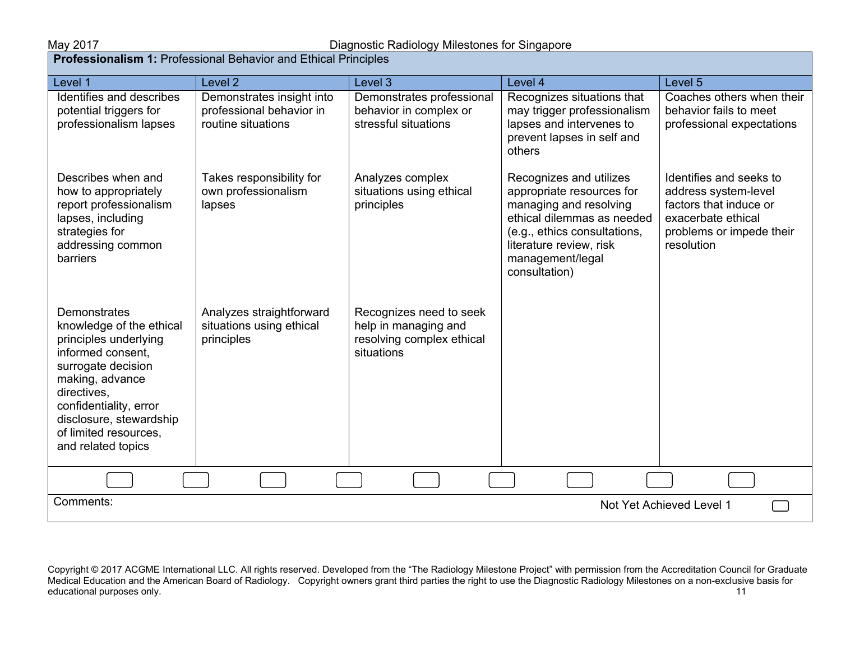**Professionalism 1:** Professional Behavior and Ethical Principles

| Level 1                                                                                                                                                                                                                                            | Level <sub>2</sub>                                                          | Level 3                                                                                    | Level 4                                                                                                                                                                                                      | Level <sub>5</sub>                                                                                                                        |
|----------------------------------------------------------------------------------------------------------------------------------------------------------------------------------------------------------------------------------------------------|-----------------------------------------------------------------------------|--------------------------------------------------------------------------------------------|--------------------------------------------------------------------------------------------------------------------------------------------------------------------------------------------------------------|-------------------------------------------------------------------------------------------------------------------------------------------|
| Identifies and describes<br>potential triggers for<br>professionalism lapses                                                                                                                                                                       | Demonstrates insight into<br>professional behavior in<br>routine situations | Demonstrates professional<br>behavior in complex or<br>stressful situations                | Recognizes situations that<br>may trigger professionalism<br>lapses and intervenes to<br>prevent lapses in self and<br>others                                                                                | Coaches others when their<br>behavior fails to meet<br>professional expectations                                                          |
| Describes when and<br>how to appropriately<br>report professionalism<br>lapses, including<br>strategies for<br>addressing common<br>barriers                                                                                                       | Takes responsibility for<br>own professionalism<br>lapses                   | Analyzes complex<br>situations using ethical<br>principles                                 | Recognizes and utilizes<br>appropriate resources for<br>managing and resolving<br>ethical dilemmas as needed<br>(e.g., ethics consultations,<br>literature review, risk<br>management/legal<br>consultation) | Identifies and seeks to<br>address system-level<br>factors that induce or<br>exacerbate ethical<br>problems or impede their<br>resolution |
| Demonstrates<br>knowledge of the ethical<br>principles underlying<br>informed consent.<br>surrogate decision<br>making, advance<br>directives,<br>confidentiality, error<br>disclosure, stewardship<br>of limited resources.<br>and related topics | Analyzes straightforward<br>situations using ethical<br>principles          | Recognizes need to seek<br>help in managing and<br>resolving complex ethical<br>situations |                                                                                                                                                                                                              |                                                                                                                                           |
|                                                                                                                                                                                                                                                    |                                                                             |                                                                                            |                                                                                                                                                                                                              |                                                                                                                                           |
| Comments:                                                                                                                                                                                                                                          |                                                                             |                                                                                            |                                                                                                                                                                                                              | Not Yet Achieved Level 1                                                                                                                  |

Copyright © 2017 ACGME International LLC. All rights reserved. Developed from the "The Radiology Milestone Project" with permission from the Accreditation Council for Graduate Medical Education and the American Board of Radiology. Copyright owners grant third parties the right to use the Diagnostic Radiology Milestones on a non-exclusive basis for educational purposes only. The contract of the contract of the contract of the contract of the contract of the contract of the contract of the contract of the contract of the contract of the contract of the contract of the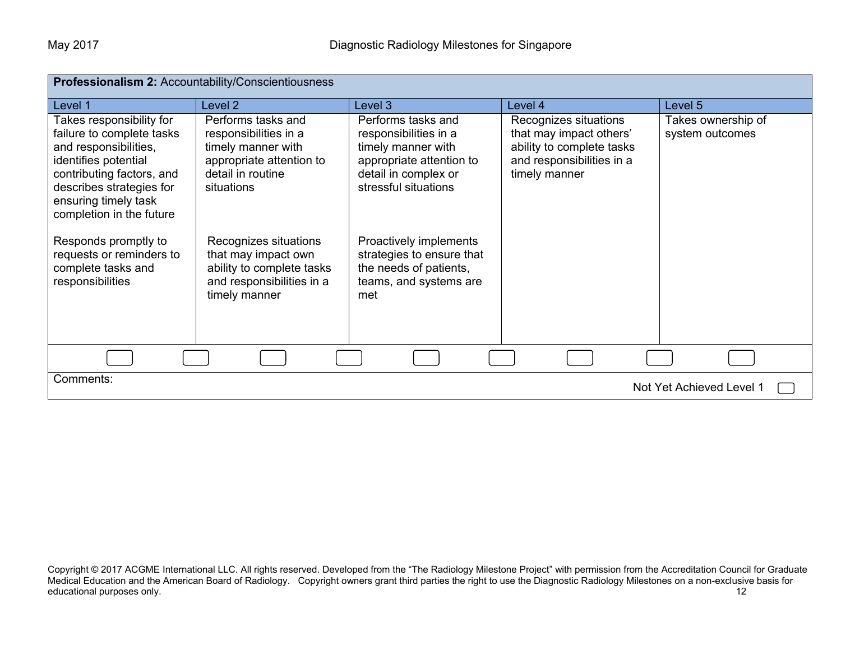| Professionalism 2: Accountability/Conscientiousness                                                                                                                                                                 |                                                                                                                                  |                                                                                                                                               |                                                                                                                             |                                       |
|---------------------------------------------------------------------------------------------------------------------------------------------------------------------------------------------------------------------|----------------------------------------------------------------------------------------------------------------------------------|-----------------------------------------------------------------------------------------------------------------------------------------------|-----------------------------------------------------------------------------------------------------------------------------|---------------------------------------|
| Level 1                                                                                                                                                                                                             | Level <sub>2</sub>                                                                                                               | Level 3                                                                                                                                       | Level 4                                                                                                                     | Level 5                               |
| Takes responsibility for<br>failure to complete tasks<br>and responsibilities,<br>identifies potential<br>contributing factors, and<br>describes strategies for<br>ensuring timely task<br>completion in the future | Performs tasks and<br>responsibilities in a<br>timely manner with<br>appropriate attention to<br>detail in routine<br>situations | Performs tasks and<br>responsibilities in a<br>timely manner with<br>appropriate attention to<br>detail in complex or<br>stressful situations | Recognizes situations<br>that may impact others'<br>ability to complete tasks<br>and responsibilities in a<br>timely manner | Takes ownership of<br>system outcomes |
| Responds promptly to<br>requests or reminders to<br>complete tasks and<br>responsibilities                                                                                                                          | Recognizes situations<br>that may impact own<br>ability to complete tasks<br>and responsibilities in a<br>timely manner          | Proactively implements<br>strategies to ensure that<br>the needs of patients,<br>teams, and systems are<br>met                                |                                                                                                                             |                                       |
|                                                                                                                                                                                                                     |                                                                                                                                  |                                                                                                                                               |                                                                                                                             |                                       |
| Comments:<br>Not Yet Achieved Level 1                                                                                                                                                                               |                                                                                                                                  |                                                                                                                                               |                                                                                                                             |                                       |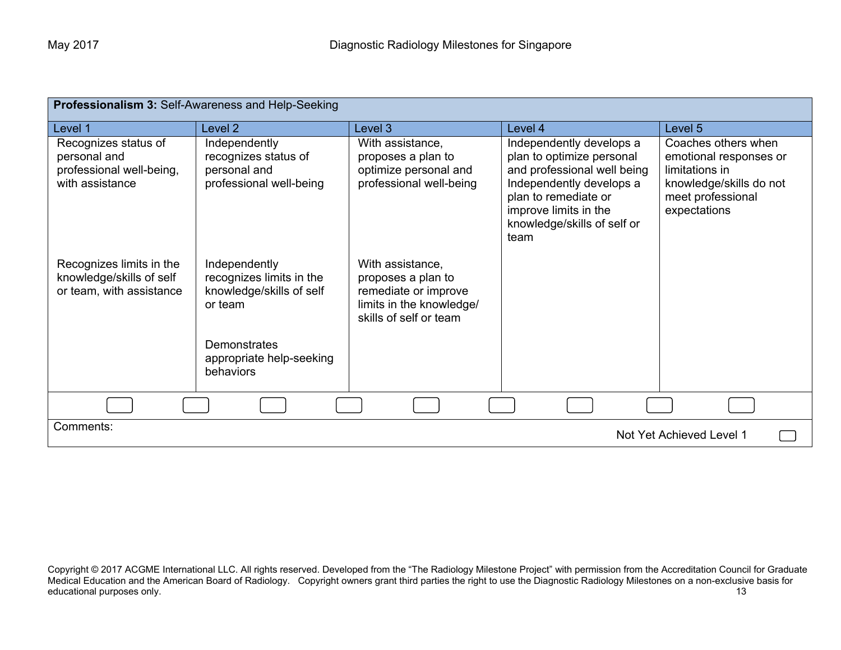| <b>Professionalism 3: Self-Awareness and Help-Seeking</b>                           |                                                                                  |                                                                                                                      |                                                                                                                                                                                                          |                                                                                                                                 |
|-------------------------------------------------------------------------------------|----------------------------------------------------------------------------------|----------------------------------------------------------------------------------------------------------------------|----------------------------------------------------------------------------------------------------------------------------------------------------------------------------------------------------------|---------------------------------------------------------------------------------------------------------------------------------|
| Level 1                                                                             | Level 2                                                                          | Level 3                                                                                                              | Level 4                                                                                                                                                                                                  | Level 5                                                                                                                         |
| Recognizes status of<br>personal and<br>professional well-being,<br>with assistance | Independently<br>recognizes status of<br>personal and<br>professional well-being | With assistance,<br>proposes a plan to<br>optimize personal and<br>professional well-being                           | Independently develops a<br>plan to optimize personal<br>and professional well being<br>Independently develops a<br>plan to remediate or<br>improve limits in the<br>knowledge/skills of self or<br>team | Coaches others when<br>emotional responses or<br>limitations in<br>knowledge/skills do not<br>meet professional<br>expectations |
| Recognizes limits in the<br>knowledge/skills of self<br>or team, with assistance    | Independently<br>recognizes limits in the<br>knowledge/skills of self<br>or team | With assistance,<br>proposes a plan to<br>remediate or improve<br>limits in the knowledge/<br>skills of self or team |                                                                                                                                                                                                          |                                                                                                                                 |
|                                                                                     | Demonstrates<br>appropriate help-seeking<br>behaviors                            |                                                                                                                      |                                                                                                                                                                                                          |                                                                                                                                 |
|                                                                                     |                                                                                  |                                                                                                                      |                                                                                                                                                                                                          |                                                                                                                                 |
| Comments:<br>Not Yet Achieved Level 1                                               |                                                                                  |                                                                                                                      |                                                                                                                                                                                                          |                                                                                                                                 |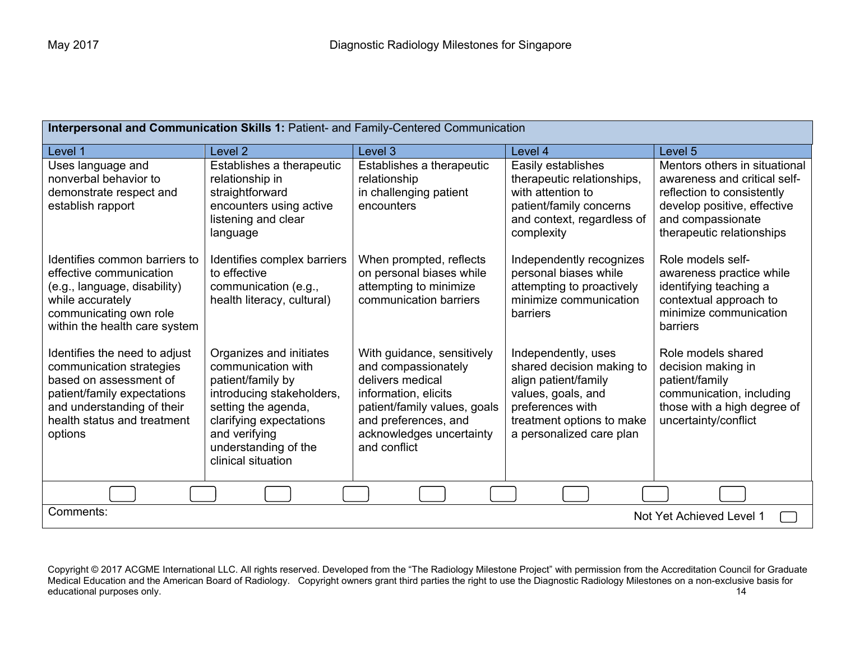| Interpersonal and Communication Skills 1: Patient- and Family-Centered Communication                                                                                                       |                                                                                                                                                                                                                  |                                                                                                                                                                                                   |                                                                                                                                                                             |                                                                                                                                                                              |
|--------------------------------------------------------------------------------------------------------------------------------------------------------------------------------------------|------------------------------------------------------------------------------------------------------------------------------------------------------------------------------------------------------------------|---------------------------------------------------------------------------------------------------------------------------------------------------------------------------------------------------|-----------------------------------------------------------------------------------------------------------------------------------------------------------------------------|------------------------------------------------------------------------------------------------------------------------------------------------------------------------------|
| Level 1                                                                                                                                                                                    | Level <sub>2</sub>                                                                                                                                                                                               | Level 3                                                                                                                                                                                           | Level 4                                                                                                                                                                     | Level 5                                                                                                                                                                      |
| Uses language and<br>nonverbal behavior to<br>demonstrate respect and<br>establish rapport                                                                                                 | Establishes a therapeutic<br>relationship in<br>straightforward<br>encounters using active<br>listening and clear<br>language                                                                                    | Establishes a therapeutic<br>relationship<br>in challenging patient<br>encounters                                                                                                                 | Easily establishes<br>therapeutic relationships,<br>with attention to<br>patient/family concerns<br>and context, regardless of<br>complexity                                | Mentors others in situational<br>awareness and critical self-<br>reflection to consistently<br>develop positive, effective<br>and compassionate<br>therapeutic relationships |
| Identifies common barriers to<br>effective communication<br>(e.g., language, disability)<br>while accurately<br>communicating own role<br>within the health care system                    | Identifies complex barriers<br>to effective<br>communication (e.g.,<br>health literacy, cultural)                                                                                                                | When prompted, reflects<br>on personal biases while<br>attempting to minimize<br>communication barriers                                                                                           | Independently recognizes<br>personal biases while<br>attempting to proactively<br>minimize communication<br>barriers                                                        | Role models self-<br>awareness practice while<br>identifying teaching a<br>contextual approach to<br>minimize communication<br>barriers                                      |
| Identifies the need to adjust<br>communication strategies<br>based on assessment of<br>patient/family expectations<br>and understanding of their<br>health status and treatment<br>options | Organizes and initiates<br>communication with<br>patient/family by<br>introducing stakeholders,<br>setting the agenda,<br>clarifying expectations<br>and verifying<br>understanding of the<br>clinical situation | With guidance, sensitively<br>and compassionately<br>delivers medical<br>information, elicits<br>patient/family values, goals<br>and preferences, and<br>acknowledges uncertainty<br>and conflict | Independently, uses<br>shared decision making to<br>align patient/family<br>values, goals, and<br>preferences with<br>treatment options to make<br>a personalized care plan | Role models shared<br>decision making in<br>patient/family<br>communication, including<br>those with a high degree of<br>uncertainty/conflict                                |
|                                                                                                                                                                                            |                                                                                                                                                                                                                  |                                                                                                                                                                                                   |                                                                                                                                                                             |                                                                                                                                                                              |
| Comments:<br>Not Yet Achieved Level 1                                                                                                                                                      |                                                                                                                                                                                                                  |                                                                                                                                                                                                   |                                                                                                                                                                             |                                                                                                                                                                              |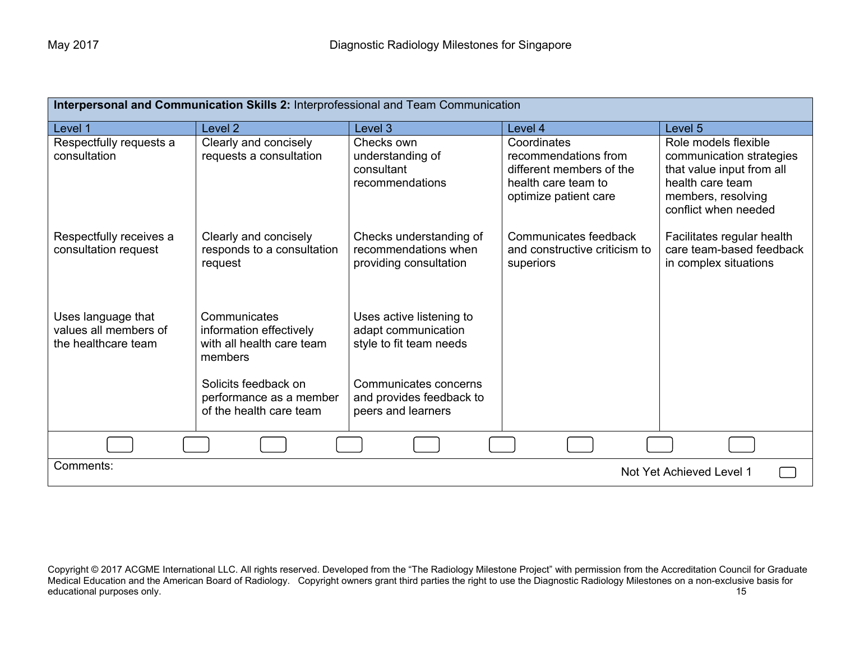| Interpersonal and Communication Skills 2: Interprofessional and Team Communication |                                                                                 |                                                                            |                                                                                                  |                                                                                                                         |
|------------------------------------------------------------------------------------|---------------------------------------------------------------------------------|----------------------------------------------------------------------------|--------------------------------------------------------------------------------------------------|-------------------------------------------------------------------------------------------------------------------------|
| Level 1                                                                            | Level <sub>2</sub>                                                              | Level 3                                                                    | Level 4                                                                                          | Level <sub>5</sub>                                                                                                      |
| Respectfully requests a                                                            | Clearly and concisely                                                           | Checks own                                                                 | Coordinates                                                                                      | Role models flexible                                                                                                    |
| consultation                                                                       | requests a consultation                                                         | understanding of<br>consultant<br>recommendations                          | recommendations from<br>different members of the<br>health care team to<br>optimize patient care | communication strategies<br>that value input from all<br>health care team<br>members, resolving<br>conflict when needed |
| Respectfully receives a<br>consultation request                                    | Clearly and concisely<br>responds to a consultation<br>request                  | Checks understanding of<br>recommendations when<br>providing consultation  | Communicates feedback<br>and constructive criticism to<br>superiors                              | Facilitates regular health<br>care team-based feedback<br>in complex situations                                         |
| Uses language that<br>values all members of<br>the healthcare team                 | Communicates<br>information effectively<br>with all health care team<br>members | Uses active listening to<br>adapt communication<br>style to fit team needs |                                                                                                  |                                                                                                                         |
|                                                                                    | Solicits feedback on<br>performance as a member<br>of the health care team      | Communicates concerns<br>and provides feedback to<br>peers and learners    |                                                                                                  |                                                                                                                         |
|                                                                                    |                                                                                 |                                                                            |                                                                                                  |                                                                                                                         |
| Comments:<br>Not Yet Achieved Level 1                                              |                                                                                 |                                                                            |                                                                                                  |                                                                                                                         |